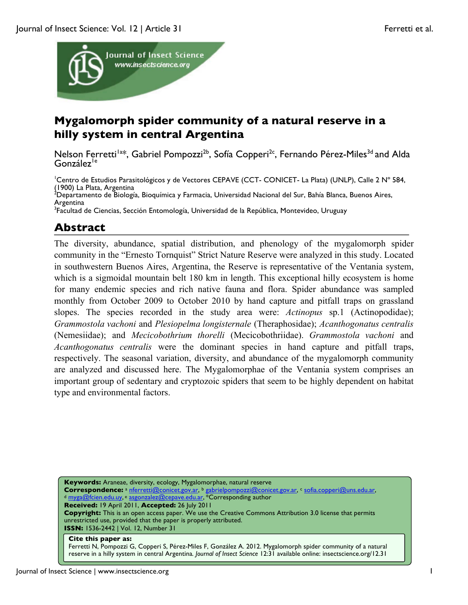

# **Mygalomorph spider community of a natural reserve in a hilly system in central Argentina**

Nelson Ferretti<sup>1a\*</sup>, Gabriel Pompozzi<sup>2b</sup>, Sofía Copperi<sup>2c</sup>, Fernando Pérez-Miles<sup>3d</sup> and Alda González<sup>le</sup>

<sup>1</sup>Centro de Estudios Parasitológicos y de Vectores CEPAVE (CCT- CONICET- La Plata) (UNLP), Calle 2 Nº 584, (1900) La Plata, Argentina

<sup>2</sup>Departamento de Biología, Bioquímica y Farmacia, Universidad Nacional del Sur, Bahía Blanca, Buenos Aires, Argentina

<sup>3</sup>Facultad de Ciencias, Sección Entomología, Universidad de la República, Montevideo, Uruguay

# **Abstract**

The diversity, abundance, spatial distribution, and phenology of the mygalomorph spider community in the "Ernesto Tornquist" Strict Nature Reserve were analyzed in this study. Located in southwestern Buenos Aires, Argentina, the Reserve is representative of the Ventania system, which is a sigmoidal mountain belt 180 km in length. This exceptional hilly ecosystem is home for many endemic species and rich native fauna and flora. Spider abundance was sampled monthly from October 2009 to October 2010 by hand capture and pitfall traps on grassland slopes. The species recorded in the study area were: *Actinopus* sp.1 (Actinopodidae); *Grammostola vachoni* and *Plesiopelma longisternale* (Theraphosidae); *Acanthogonatus centralis* (Nemesiidae); and *Mecicobothrium thorelli* (Mecicobothriidae). *Grammostola vachoni* and *Acanthogonatus centralis* were the dominant species in hand capture and pitfall traps, respectively. The seasonal variation, diversity, and abundance of the mygalomorph community are analyzed and discussed here. The Mygalomorphae of the Ventania system comprises an important group of sedentary and cryptozoic spiders that seem to be highly dependent on habitat type and environmental factors.

**Keywords:** Araneae, diversity, ecology, Mygalomorphae, natural reserve **Correspondence:** <sup>a</sup> nferretti@conicet.gov.ar, <sup>b</sup> gabrielpompozzi@conicet.gov.ar, <sup>c</sup> sofia.copperi@uns.edu.ar, <sup>d</sup> <u>myga@fcien.edu.uy, e asgonzalez@cepave.edu.ar</u>, \*Corresponding author **Received:** 19 April 2011, **Accepted:** 26 July 2011 **Copyright:** This is an open access paper. We use the Creative Commons Attribution 3.0 license that permits unrestricted use, provided that the paper is properly attributed. **ISSN:** 1536-2442 | Vol. 12, Number 31 **Cite this paper as:**

Ferretti N, Pompozzi G, Copperi S, Pérez-Miles F, González A. 2012. Mygalomorph spider community of a natural reserve in a hilly system in central Argentina*. Journal of Insect Science* 12:31 available online: insectscience.org/12.31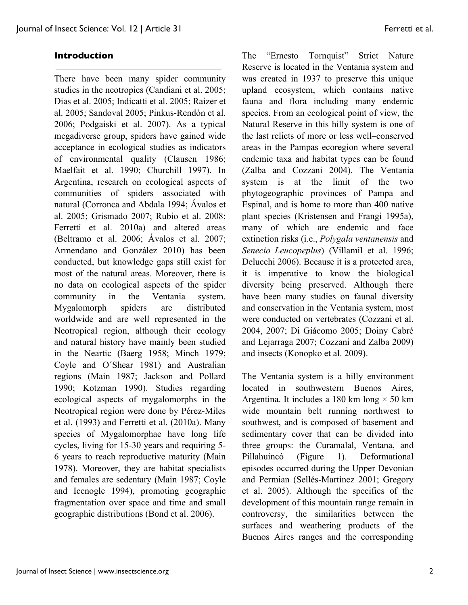## **Introduction**

There have been many spider community studies in the neotropics (Candiani et al. 2005; Dias et al. 2005; Indicatti et al. 2005; Raizer et al. 2005; Sandoval 2005; Pinkus-Rendón et al. 2006; Podgaiski et al. 2007). As a typical megadiverse group, spiders have gained wide acceptance in ecological studies as indicators of environmental quality (Clausen 1986; Maelfait et al. 1990; Churchill 1997). In Argentina, research on ecological aspects of communities of spiders associated with natural (Corronca and Abdala 1994; Ávalos et al. 2005; Grismado 2007; Rubio et al. 2008; Ferretti et al. 2010a) and altered areas (Beltramo et al. 2006; Ávalos et al. 2007; Armendano and González 2010) has been conducted, but knowledge gaps still exist for most of the natural areas. Moreover, there is no data on ecological aspects of the spider community in the Ventania system. Mygalomorph spiders are distributed worldwide and are well represented in the Neotropical region, although their ecology and natural history have mainly been studied in the Neartic (Baerg 1958; Minch 1979; Coyle and O´Shear 1981) and Australian regions (Main 1987; Jackson and Pollard 1990; Kotzman 1990). Studies regarding ecological aspects of mygalomorphs in the Neotropical region were done by Pérez-Miles et al. (1993) and Ferretti et al. (2010a). Many species of Mygalomorphae have long life cycles, living for 15-30 years and requiring 5- 6 years to reach reproductive maturity (Main 1978). Moreover, they are habitat specialists and females are sedentary (Main 1987; Coyle and Icenogle 1994), promoting geographic fragmentation over space and time and small geographic distributions (Bond et al. 2006).

The "Ernesto Tornquist" Strict Nature Reserve is located in the Ventania system and was created in 1937 to preserve this unique upland ecosystem, which contains native fauna and flora including many endemic species. From an ecological point of view, the Natural Reserve in this hilly system is one of the last relicts of more or less well–conserved areas in the Pampas ecoregion where several endemic taxa and habitat types can be found (Zalba and Cozzani 2004). The Ventania system is at the limit of the two phytogeographic provinces of Pampa and Espinal, and is home to more than 400 native plant species (Kristensen and Frangi 1995a), many of which are endemic and face extinction risks (i.e., *Polygala ventanensis* and *Senecio Leucopeplus*) (Villamil et al. 1996; Delucchi 2006). Because it is a protected area, it is imperative to know the biological diversity being preserved. Although there have been many studies on faunal diversity and conservation in the Ventania system, most were conducted on vertebrates (Cozzani et al. 2004, 2007; Di Giácomo 2005; Doiny Cabré and Lejarraga 2007; Cozzani and Zalba 2009) and insects (Konopko et al. 2009).

The Ventania system is a hilly environment located in southwestern Buenos Aires, Argentina. It includes a 180 km long  $\times$  50 km wide mountain belt running northwest to southwest, and is composed of basement and sedimentary cover that can be divided into three groups: the Curamalal, Ventana, and Pillahuincó (Figure 1). Deformational episodes occurred during the Upper Devonian and Permian (Sellés-Martínez 2001; Gregory et al. 2005). Although the specifics of the development of this mountain range remain in controversy, the similarities between the surfaces and weathering products of the Buenos Aires ranges and the corresponding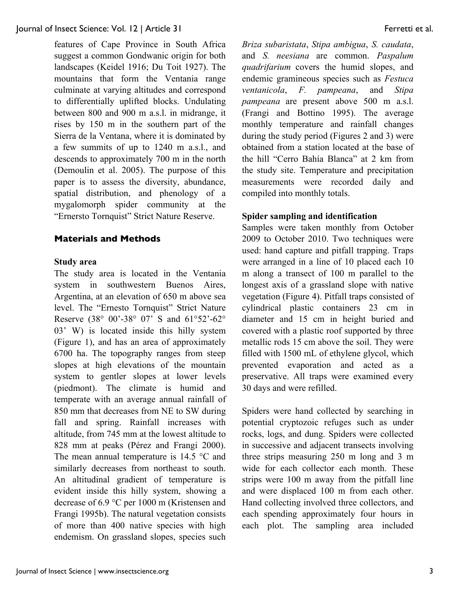features of Cape Province in South Africa suggest a common Gondwanic origin for both landscapes (Keidel 1916; Du Toit 1927). The mountains that form the Ventania range culminate at varying altitudes and correspond to differentially uplifted blocks. Undulating between 800 and 900 m a.s.l. in midrange, it rises by 150 m in the southern part of the Sierra de la Ventana, where it is dominated by a few summits of up to 1240 m a.s.l., and descends to approximately 700 m in the north (Demoulin et al. 2005). The purpose of this paper is to assess the diversity, abundance, spatial distribution, and phenology of a mygalomorph spider community at the "Ernersto Tornquist" Strict Nature Reserve.

### **Materials and Methods**

#### **Study area**

The study area is located in the Ventania system in southwestern Buenos Aires, Argentina, at an elevation of 650 m above sea level. The "Ernesto Tornquist" Strict Nature Reserve (38° 00'-38° 07' S and 61°52'-62° 03' W) is located inside this hilly system (Figure 1), and has an area of approximately 6700 ha. The topography ranges from steep slopes at high elevations of the mountain system to gentler slopes at lower levels (piedmont). The climate is humid and temperate with an average annual rainfall of 850 mm that decreases from NE to SW during fall and spring. Rainfall increases with altitude, from 745 mm at the lowest altitude to 828 mm at peaks (Pérez and Frangi 2000). The mean annual temperature is 14.5 °C and similarly decreases from northeast to south. An altitudinal gradient of temperature is evident inside this hilly system, showing a decrease of 6.9 °C per 1000 m (Kristensen and Frangi 1995b). The natural vegetation consists of more than 400 native species with high endemism. On grassland slopes, species such

*Briza subaristata*, *Stipa ambigua*, *S. caudata*, and *S. neesiana* are common. *Paspalum quadrifarium* covers the humid slopes, and endemic gramineous species such as *Festuca ventanicola*, *F. pampeana*, and *Stipa pampeana* are present above 500 m a.s.l. (Frangi and Bottino 1995). The average monthly temperature and rainfall changes during the study period (Figures 2 and 3) were obtained from a station located at the base of the hill "Cerro Bahía Blanca" at 2 km from the study site. Temperature and precipitation measurements were recorded daily and compiled into monthly totals.

### **Spider sampling and identification**

Samples were taken monthly from October 2009 to October 2010. Two techniques were used: hand capture and pitfall trapping. Traps were arranged in a line of 10 placed each 10 m along a transect of 100 m parallel to the longest axis of a grassland slope with native vegetation (Figure 4). Pitfall traps consisted of cylindrical plastic containers 23 cm in diameter and 15 cm in height buried and covered with a plastic roof supported by three metallic rods 15 cm above the soil. They were filled with 1500 mL of ethylene glycol, which prevented evaporation and acted as a preservative. All traps were examined every 30 days and were refilled.

Spiders were hand collected by searching in potential cryptozoic refuges such as under rocks, logs, and dung. Spiders were collected in successive and adjacent transects involving three strips measuring 250 m long and 3 m wide for each collector each month. These strips were 100 m away from the pitfall line and were displaced 100 m from each other. Hand collecting involved three collectors, and each spending approximately four hours in each plot. The sampling area included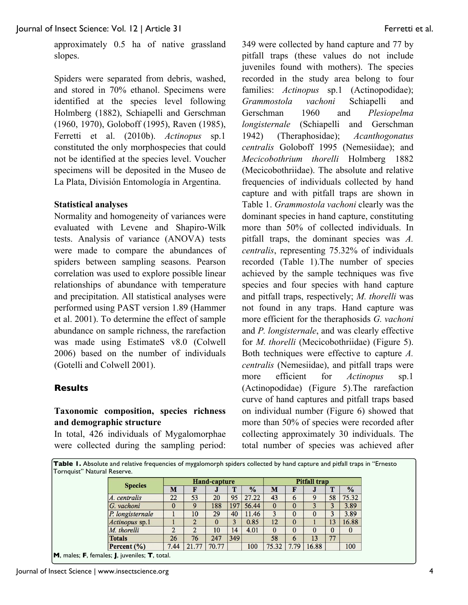approximately 0.5 ha of native grassland slopes.

Spiders were separated from debris, washed, and stored in 70% ethanol. Specimens were identified at the species level following Holmberg (1882), Schiapelli and Gerschman (1960, 1970), Goloboff (1995), Raven (1985), Ferretti et al. (2010b). *Actinopus* sp.1 constituted the only morphospecies that could not be identified at the species level. Voucher specimens will be deposited in the Museo de La Plata, División Entomología in Argentina.

### **Statistical analyses**

Normality and homogeneity of variances were evaluated with Levene and Shapiro-Wilk tests. Analysis of variance (ANOVA) tests were made to compare the abundances of spiders between sampling seasons. Pearson correlation was used to explore possible linear relationships of abundance with temperature and precipitation. All statistical analyses were performed using PAST version 1.89 (Hammer et al. 2001). To determine the effect of sample abundance on sample richness, the rarefaction was made using EstimateS v8.0 (Colwell 2006) based on the number of individuals (Gotelli and Colwell 2001).

### **Results**

## **Taxonomic composition, species richness and demographic structure**

In total, 426 individuals of Mygalomorphae were collected during the sampling period: 349 were collected by hand capture and 77 by pitfall traps (these values do not include juveniles found with mothers). The species recorded in the study area belong to four families: *Actinopus* sp.1 (Actinopodidae); *Grammostola vachoni* Schiapelli and Gerschman 1960 and *Plesiopelma longisternale* (Schiapelli and Gerschman 1942) (Theraphosidae); *Acanthogonatus centralis* Goloboff 1995 (Nemesiidae); and *Mecicobothrium thorelli* Holmberg 1882 (Mecicobothriidae). The absolute and relative frequencies of individuals collected by hand capture and with pitfall traps are shown in Table 1. *Grammostola vachoni* clearly was the dominant species in hand capture, constituting more than 50% of collected individuals. In pitfall traps, the dominant species was *A. centralis*, representing 75.32% of individuals recorded (Table 1).The number of species achieved by the sample techniques was five species and four species with hand capture and pitfall traps, respectively; *M. thorelli* was not found in any traps. Hand capture was more efficient for the theraphosids *G. vachoni* and *P. longisternale*, and was clearly effective for *M. thorelli* (Mecicobothriidae) (Figure 5). Both techniques were effective to capture *A. centralis* (Nemesiidae), and pitfall traps were more efficient for *Actinopus* sp.1 (Actinopodidae) (Figure 5).The rarefaction curve of hand captures and pitfall traps based on individual number (Figure 6) showed that more than 50% of species were recorded after collecting approximately 30 individuals. The total number of species was achieved after

**Table 1.** Absolute and relative frequencies of mygalomorph spiders collected by hand capture and pitfall traps in "Ernesto Tornquist" Natural Reserve.

|                                               | <b>Hand-capture</b> |       |       |     |               | <b>Pitfall trap</b> |              |       |          |               |
|-----------------------------------------------|---------------------|-------|-------|-----|---------------|---------------------|--------------|-------|----------|---------------|
| <b>Species</b>                                | м                   | F     | J     |     | $\frac{9}{6}$ | M                   |              | J     | Т        | $\frac{9}{6}$ |
| A. centralis                                  | 22                  | 53    | 20    | 95  | 27.22         | 43                  | 6            | 9     | 58       | 75.32         |
| G. vachoni                                    | $\bf{0}$            | 9     | 188   | 197 | 56.44         | $\bf{0}$            |              |       |          | 3.89          |
| P. longisternale                              |                     | 10    | 29    | 40  | 11.46         | 3                   | $\mathbf{0}$ | 0     | 3        | 3.89          |
| Actinopus sp.1                                |                     |       |       |     | 0.85          | 12                  |              |       | 13       | 16.88         |
| M. thorelli                                   | $\overline{2}$      | 2     | 10    | 14  | 4.01          | $\bf{0}$            | 0            | 0     | $\bf{0}$ | $\mathbf{0}$  |
| <b>Totals</b>                                 | 26                  | 76    | 247   | 349 |               | 58                  | 6            | 13    | 77       |               |
| Percent $(\% )$                               | 7.44                | 21.77 | 70.77 |     | 100           | 75.32               | 7.79         | 16.88 |          | 100           |
| M, males; F, females; J, juveniles; T, total. |                     |       |       |     |               |                     |              |       |          |               |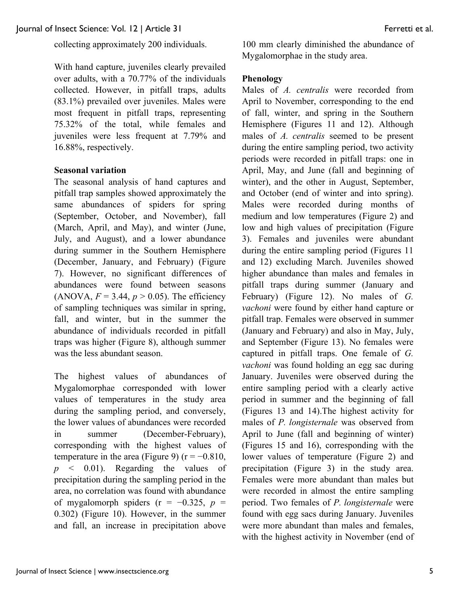collecting approximately 200 individuals.

With hand capture, juveniles clearly prevailed over adults, with a 70.77% of the individuals collected. However, in pitfall traps, adults (83.1%) prevailed over juveniles. Males were most frequent in pitfall traps, representing 75.32% of the total, while females and juveniles were less frequent at 7.79% and 16.88%, respectively.

### **Seasonal variation**

The seasonal analysis of hand captures and pitfall trap samples showed approximately the same abundances of spiders for spring (September, October, and November), fall (March, April, and May), and winter (June, July, and August), and a lower abundance during summer in the Southern Hemisphere (December, January, and February) (Figure 7). However, no significant differences of abundances were found between seasons (ANOVA,  $F = 3.44$ ,  $p > 0.05$ ). The efficiency of sampling techniques was similar in spring, fall, and winter, but in the summer the abundance of individuals recorded in pitfall traps was higher (Figure 8), although summer was the less abundant season.

The highest values of abundances of Mygalomorphae corresponded with lower values of temperatures in the study area during the sampling period, and conversely, the lower values of abundances were recorded in summer (December-February), corresponding with the highest values of temperature in the area (Figure 9) ( $r = -0.810$ , *p* < 0.01). Regarding the values of precipitation during the sampling period in the area, no correlation was found with abundance of mygalomorph spiders  $(r = -0.325, p =$ 0.302) (Figure 10). However, in the summer and fall, an increase in precipitation above

100 mm clearly diminished the abundance of Mygalomorphae in the study area.

## **Phenology**

Males of *A. centralis* were recorded from April to November, corresponding to the end of fall, winter, and spring in the Southern Hemisphere (Figures 11 and 12). Although males of *A. centralis* seemed to be present during the entire sampling period, two activity periods were recorded in pitfall traps: one in April, May, and June (fall and beginning of winter), and the other in August, September, and October (end of winter and into spring). Males were recorded during months of medium and low temperatures (Figure 2) and low and high values of precipitation (Figure 3). Females and juveniles were abundant during the entire sampling period (Figures 11 and 12) excluding March. Juveniles showed higher abundance than males and females in pitfall traps during summer (January and February) (Figure 12). No males of *G. vachoni* were found by either hand capture or pitfall trap. Females were observed in summer (January and February) and also in May, July, and September (Figure 13). No females were captured in pitfall traps. One female of *G. vachoni* was found holding an egg sac during January. Juveniles were observed during the entire sampling period with a clearly active period in summer and the beginning of fall (Figures 13 and 14).The highest activity for males of *P. longisternale* was observed from April to June (fall and beginning of winter) (Figures 15 and 16), corresponding with the lower values of temperature (Figure 2) and precipitation (Figure 3) in the study area. Females were more abundant than males but were recorded in almost the entire sampling period. Two females of *P. longisternale* were found with egg sacs during January. Juveniles were more abundant than males and females, with the highest activity in November (end of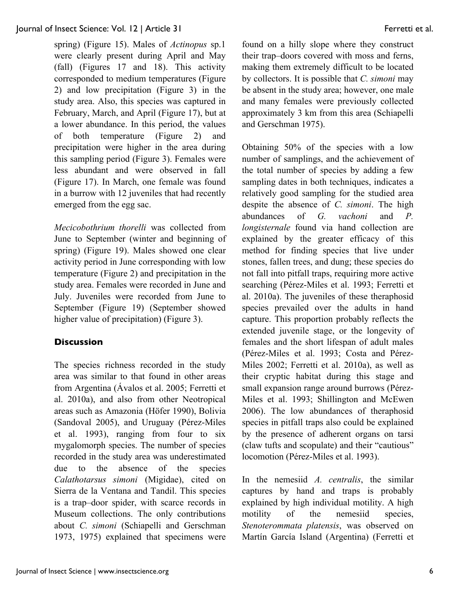spring) (Figure 15). Males of *Actinopus* sp.1 were clearly present during April and May (fall) (Figures 17 and 18). This activity corresponded to medium temperatures (Figure 2) and low precipitation (Figure 3) in the study area. Also, this species was captured in February, March, and April (Figure 17), but at a lower abundance. In this period, the values of both temperature (Figure 2) and precipitation were higher in the area during this sampling period (Figure 3). Females were less abundant and were observed in fall (Figure 17). In March, one female was found in a burrow with 12 juveniles that had recently emerged from the egg sac.

*Mecicobothrium thorelli* was collected from June to September (winter and beginning of spring) (Figure 19). Males showed one clear activity period in June corresponding with low temperature (Figure 2) and precipitation in the study area. Females were recorded in June and July. Juveniles were recorded from June to September (Figure 19) (September showed higher value of precipitation) (Figure 3).

# **Discussion**

The species richness recorded in the study area was similar to that found in other areas from Argentina (Ávalos et al. 2005; Ferretti et al. 2010a), and also from other Neotropical areas such as Amazonia (Höfer 1990), Bolivia (Sandoval 2005), and Uruguay (Pérez-Miles et al. 1993), ranging from four to six mygalomorph species. The number of species recorded in the study area was underestimated due to the absence of the species *Calathotarsus simoni* (Migidae), cited on Sierra de la Ventana and Tandil. This species is a trap–door spider, with scarce records in Museum collections. The only contributions about *C. simoni* (Schiapelli and Gerschman 1973, 1975) explained that specimens were found on a hilly slope where they construct their trap–doors covered with moss and ferns, making them extremely difficult to be located by collectors. It is possible that *C. simoni* may be absent in the study area; however, one male and many females were previously collected approximately 3 km from this area (Schiapelli and Gerschman 1975).

Obtaining 50% of the species with a low number of samplings, and the achievement of the total number of species by adding a few sampling dates in both techniques, indicates a relatively good sampling for the studied area despite the absence of *C. simoni*. The high abundances of *G. vachoni* and *P. longisternale* found via hand collection are explained by the greater efficacy of this method for finding species that live under stones, fallen trees, and dung; these species do not fall into pitfall traps, requiring more active searching (Pérez-Miles et al. 1993; Ferretti et al. 2010a). The juveniles of these theraphosid species prevailed over the adults in hand capture. This proportion probably reflects the extended juvenile stage, or the longevity of females and the short lifespan of adult males (Pérez-Miles et al. 1993; Costa and Pérez-Miles 2002; Ferretti et al. 2010a), as well as their cryptic habitat during this stage and small expansion range around burrows (Pérez-Miles et al. 1993; Shillington and McEwen 2006). The low abundances of theraphosid species in pitfall traps also could be explained by the presence of adherent organs on tarsi (claw tufts and scopulate) and their "cautious" locomotion (Pérez-Miles et al. 1993).

In the nemesiid *A. centralis*, the similar captures by hand and traps is probably explained by high individual motility. A high motility of the nemesiid species, *Stenoterommata platensis*, was observed on Martín García Island (Argentina) (Ferretti et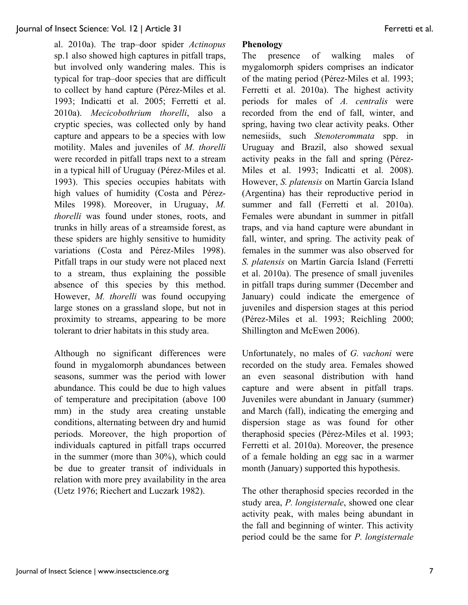al. 2010a). The trap–door spider *Actinopus* sp.1 also showed high captures in pitfall traps, but involved only wandering males. This is typical for trap–door species that are difficult to collect by hand capture (Pérez-Miles et al. 1993; Indicatti et al. 2005; Ferretti et al. 2010a). *Mecicobothrium thorelli*, also a cryptic species, was collected only by hand capture and appears to be a species with low motility. Males and juveniles of *M. thorelli* were recorded in pitfall traps next to a stream in a typical hill of Uruguay (Pérez-Miles et al. 1993). This species occupies habitats with high values of humidity (Costa and Pérez-Miles 1998). Moreover, in Uruguay, *M. thorelli* was found under stones, roots, and trunks in hilly areas of a streamside forest, as these spiders are highly sensitive to humidity variations (Costa and Pérez-Miles 1998). Pitfall traps in our study were not placed next to a stream, thus explaining the possible absence of this species by this method. However, *M. thorelli* was found occupying large stones on a grassland slope, but not in proximity to streams, appearing to be more tolerant to drier habitats in this study area.

Although no significant differences were found in mygalomorph abundances between seasons, summer was the period with lower abundance. This could be due to high values of temperature and precipitation (above 100 mm) in the study area creating unstable conditions, alternating between dry and humid periods. Moreover, the high proportion of individuals captured in pitfall traps occurred in the summer (more than 30%), which could be due to greater transit of individuals in relation with more prey availability in the area (Uetz 1976; Riechert and Luczark 1982).

## **Phenology**

The presence of walking males of mygalomorph spiders comprises an indicator of the mating period (Pérez-Miles et al. 1993; Ferretti et al. 2010a). The highest activity periods for males of *A. centralis* were recorded from the end of fall, winter, and spring, having two clear activity peaks. Other nemesiids, such *Stenoterommata* spp. in Uruguay and Brazil, also showed sexual activity peaks in the fall and spring (Pérez-Miles et al. 1993; Indicatti et al. 2008). However, *S. platensis* on Martín García Island (Argentina) has their reproductive period in summer and fall (Ferretti et al. 2010a). Females were abundant in summer in pitfall traps, and via hand capture were abundant in fall, winter, and spring. The activity peak of females in the summer was also observed for *S. platensis* on Martín García Island (Ferretti et al. 2010a). The presence of small juveniles in pitfall traps during summer (December and January) could indicate the emergence of juveniles and dispersion stages at this period (Pérez-Miles et al. 1993; Reichling 2000; Shillington and McEwen 2006).

Unfortunately, no males of *G. vachoni* were recorded on the study area. Females showed an even seasonal distribution with hand capture and were absent in pitfall traps. Juveniles were abundant in January (summer) and March (fall), indicating the emerging and dispersion stage as was found for other theraphosid species (Pérez-Miles et al. 1993; Ferretti et al. 2010a). Moreover, the presence of a female holding an egg sac in a warmer month (January) supported this hypothesis.

The other theraphosid species recorded in the study area, *P. longisternale*, showed one clear activity peak, with males being abundant in the fall and beginning of winter. This activity period could be the same for *P. longisternale*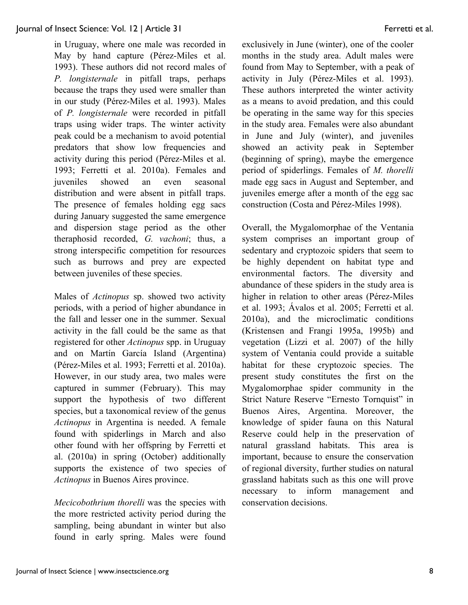in Uruguay, where one male was recorded in May by hand capture (Pérez-Miles et al. 1993). These authors did not record males of *P. longisternale* in pitfall traps, perhaps because the traps they used were smaller than in our study (Pérez-Miles et al. 1993). Males of *P. longisternale* were recorded in pitfall traps using wider traps. The winter activity peak could be a mechanism to avoid potential predators that show low frequencies and activity during this period (Pérez-Miles et al. 1993; Ferretti et al. 2010a). Females and juveniles showed an even seasonal distribution and were absent in pitfall traps. The presence of females holding egg sacs during January suggested the same emergence and dispersion stage period as the other theraphosid recorded, *G. vachoni*; thus, a strong interspecific competition for resources such as burrows and prey are expected between juveniles of these species.

Males of *Actinopus* sp. showed two activity periods, with a period of higher abundance in the fall and lesser one in the summer. Sexual activity in the fall could be the same as that registered for other *Actinopus* spp. in Uruguay and on Martín García Island (Argentina) (Pérez-Miles et al. 1993; Ferretti et al. 2010a). However, in our study area, two males were captured in summer (February). This may support the hypothesis of two different species, but a taxonomical review of the genus *Actinopus* in Argentina is needed. A female found with spiderlings in March and also other found with her offspring by Ferretti et al. (2010a) in spring (October) additionally supports the existence of two species of *Actinopus* in Buenos Aires province.

*Mecicobothrium thorelli* was the species with the more restricted activity period during the sampling, being abundant in winter but also found in early spring. Males were found exclusively in June (winter), one of the cooler months in the study area. Adult males were found from May to September, with a peak of activity in July (Pérez-Miles et al. 1993). These authors interpreted the winter activity as a means to avoid predation, and this could be operating in the same way for this species in the study area. Females were also abundant in June and July (winter), and juveniles showed an activity peak in September (beginning of spring), maybe the emergence period of spiderlings. Females of *M. thorelli* made egg sacs in August and September, and juveniles emerge after a month of the egg sac construction (Costa and Pérez-Miles 1998).

Overall, the Mygalomorphae of the Ventania system comprises an important group of sedentary and cryptozoic spiders that seem to be highly dependent on habitat type and environmental factors. The diversity and abundance of these spiders in the study area is higher in relation to other areas (Pérez-Miles et al. 1993; Ávalos et al. 2005; Ferretti et al. 2010a), and the microclimatic conditions (Kristensen and Frangi 1995a, 1995b) and vegetation (Lizzi et al. 2007) of the hilly system of Ventania could provide a suitable habitat for these cryptozoic species. The present study constitutes the first on the Mygalomorphae spider community in the Strict Nature Reserve "Ernesto Tornquist" in Buenos Aires, Argentina. Moreover, the knowledge of spider fauna on this Natural Reserve could help in the preservation of natural grassland habitats. This area is important, because to ensure the conservation of regional diversity, further studies on natural grassland habitats such as this one will prove necessary to inform management and conservation decisions.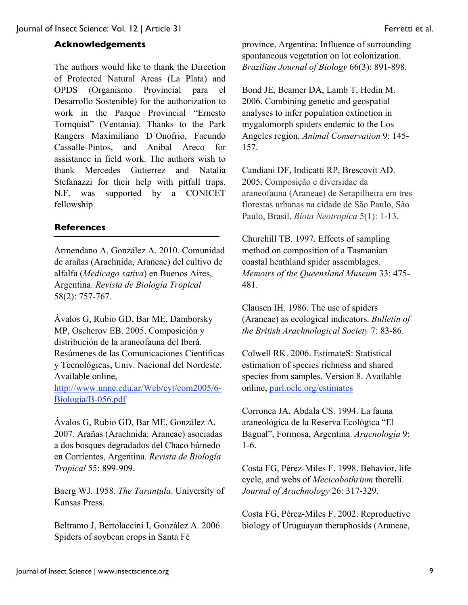## **Acknowledgements**

The authors would like to thank the Direction of Protected Natural Areas (La Plata) and OPDS (Organismo Provincial para el Desarrollo Sostenible) for the authorization to work in the Parque Provincial "Ernesto Tornquist" (Ventania). Thanks to the Park Rangers Maximiliano D´Onofrio, Facundo Cassalle-Pintos, and Anibal Areco for assistance in field work. The authors wish to thank Mercedes Gutierrez and Natalia Stefanazzi for their help with pitfall traps. N.F. was supported by a CONICET fellowship.

## **References**

Armendano A, González A. 2010. Comunidad de arañas (Arachnida, Araneae) del cultivo de alfalfa (*Medicago sativa*) en Buenos Aires, Argentina. *Revista de Biología Tropical* 58(2): 757-767.

Ávalos G, Rubio GD, Bar ME, Damborsky MP, Oscherov EB. 2005. Composición y distribución de la araneofauna del Iberá. Resúmenes de las Comunicaciones Científicas y Tecnológicas, Univ. Nacional del Nordeste. Available online,

http://www.unne.edu.ar/Web/cyt/com2005/6- Biologia/B-056.pdf

Ávalos G, Rubio GD, Bar ME, González A. 2007. Arañas (Arachnida: Araneae) asociadas a dos bosques degradados del Chaco húmedo en Corrientes, Argentina. *Revista de Biología Tropical* 55: 899-909.

Baerg WJ. 1958. *The Tarantula*. University of Kansas Press.

Beltramo J, Bertolaccini I, González A. 2006. Spiders of soybean crops in Santa Fé

province, Argentina: Influence of surrounding spontaneous vegetation on lot colonization. *Brazilian Journal of Biology* 66(3): 891-898.

Bond JE, Beamer DA, Lamb T, Hedin M. 2006. Combining genetic and geospatial analyses to infer population extinction in mygalomorph spiders endemic to the Los Angeles region. *Animal Conservation* 9: 145- 157.

Candiani DF, Indicatti RP, Brescovit AD. 2005. Composição e diversidae da araneofauna (Araneae) de Serapilheira em tres florestas urbanas na cidade de São Paulo, São Paulo, Brasil. *Biota Neotropica* 5(1): 1-13.

Churchill TB. 1997. Effects of sampling method on composition of a Tasmanian coastal heathland spider assemblages. *Memoirs of the Queensland Museum* 33: 475- 481.

Clausen IH. 1986. The use of spiders (Araneae) as ecological indicators. *Bulletin of the British Arachnological Society* 7: 83-86.

Colwell RK. 2006. EstimateS: Statistical estimation of species richness and shared species from samples. Version 8. Available online, purl.oclc.org/estimates

Corronca JA, Abdala CS. 1994. La fauna araneológica de la Reserva Ecológica "El Bagual", Formosa, Argentina. *Aracnología* 9: 1-6.

Costa FG, Pérez-Miles F. 1998. Behavior, life cycle, and webs of *Mecicobothrium* thorelli. *Journal of Arachnology* 26: 317-329.

Costa FG, Pérez-Miles F. 2002. Reproductive biology of Uruguayan theraphosids (Araneae,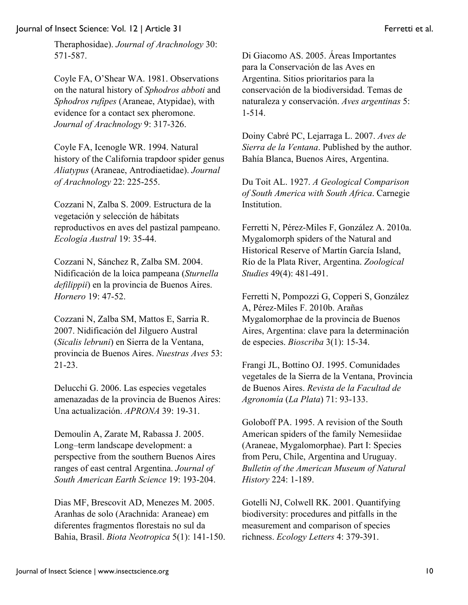Theraphosidae). *Journal of Arachnology* 30: 571-587.

Coyle FA, O'Shear WA. 1981. Observations on the natural history of *Sphodros abboti* and *Sphodros rufipes* (Araneae, Atypidae), with evidence for a contact sex pheromone. *Journal of Arachnology* 9: 317-326.

Coyle FA, Icenogle WR. 1994. Natural history of the California trapdoor spider genus *Aliatypus* (Araneae, Antrodiaetidae). *Journal of Arachnology* 22: 225-255.

Cozzani N, Zalba S. 2009. Estructura de la vegetación y selección de hábitats reproductivos en aves del pastizal pampeano. *Ecología Austral* 19: 35-44.

Cozzani N, Sánchez R, Zalba SM. 2004. Nidificación de la loica pampeana (*Sturnella defilippii*) en la provincia de Buenos Aires. *Hornero* 19: 47-52.

Cozzani N, Zalba SM, Mattos E, Sarria R. 2007. Nidificación del Jilguero Austral (*Sicalis lebruni*) en Sierra de la Ventana, provincia de Buenos Aires. *Nuestras Aves* 53: 21-23.

Delucchi G. 2006. Las especies vegetales amenazadas de la provincia de Buenos Aires: Una actualización. *APRONA* 39: 19-31.

Demoulin A, Zarate M, Rabassa J. 2005. Long–term landscape development: a perspective from the southern Buenos Aires ranges of east central Argentina. *Journal of South American Earth Science* 19: 193-204.

Dias MF, Brescovit AD, Menezes M. 2005. Aranhas de solo (Arachnida: Araneae) em diferentes fragmentos florestais no sul da Bahia, Brasil. *Biota Neotropica* 5(1): 141-150. Di Giacomo AS. 2005. Áreas Importantes para la Conservación de las Aves en Argentina. Sitios prioritarios para la conservación de la biodiversidad. Temas de naturaleza y conservación. *Aves argentinas* 5: 1-514.

Doiny Cabré PC, Lejarraga L. 2007. *Aves de Sierra de la Ventana*. Published by the author. Bahía Blanca, Buenos Aires, Argentina.

Du Toit AL. 1927. *A Geological Comparison of South America with South Africa*. Carnegie Institution.

Ferretti N, Pérez-Miles F, González A. 2010a. Mygalomorph spiders of the Natural and Historical Reserve of Martín García Island, Río de la Plata River, Argentina. *Zoological Studies* 49(4): 481-491.

Ferretti N, Pompozzi G, Copperi S, González A, Pérez-Miles F. 2010b. Arañas Mygalomorphae de la provincia de Buenos Aires, Argentina: clave para la determinación de especies. *Bioscriba* 3(1): 15-34.

Frangi JL, Bottino OJ. 1995. Comunidades vegetales de la Sierra de la Ventana, Provincia de Buenos Aires. *Revista de la Facultad de Agronomía* (*La Plata*) 71: 93-133.

Goloboff PA. 1995. A revision of the South American spiders of the family Nemesiidae (Araneae, Mygalomorphae). Part I: Species from Peru, Chile, Argentina and Uruguay. *Bulletin of the American Museum of Natural History* 224: 1-189.

Gotelli NJ, Colwell RK. 2001. Quantifying biodiversity: procedures and pitfalls in the measurement and comparison of species richness. *Ecology Letters* 4: 379-391.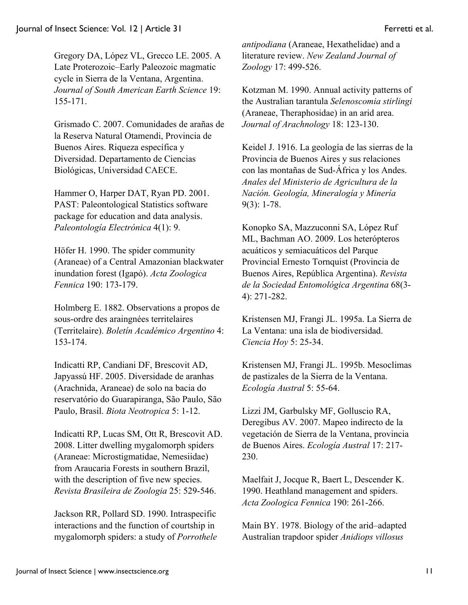Gregory DA, López VL, Grecco LE. 2005. A Late Proterozoic–Early Paleozoic magmatic cycle in Sierra de la Ventana, Argentina. *Journal of South American Earth Science* 19: 155-171.

Grismado C. 2007. Comunidades de arañas de la Reserva Natural Otamendi, Provincia de Buenos Aires. Riqueza específica y Diversidad. Departamento de Ciencias Biológicas, Universidad CAECE.

Hammer O, Harper DAT, Ryan PD. 2001. PAST: Paleontological Statistics software package for education and data analysis. *Paleontología Electrónica* 4(1): 9.

Höfer H. 1990. The spider community (Araneae) of a Central Amazonian blackwater inundation forest (Igapó). *Acta Zoologica Fennica* 190: 173-179.

Holmberg E. 1882. Observations a propos de sous-ordre des araingnées territelaires (Territelaire). *Boletín Académico Argentino* 4: 153-174.

Indicatti RP, Candiani DF, Brescovit AD, Japyassú HF. 2005. Diversidade de aranhas (Arachnida, Araneae) de solo na bacia do reservatório do Guarapiranga, São Paulo, São Paulo, Brasil. *Biota Neotropica* 5: 1-12.

Indicatti RP, Lucas SM, Ott R, Brescovit AD. 2008. Litter dwelling mygalomorph spiders (Araneae: Microstigmatidae, Nemesiidae) from Araucaria Forests in southern Brazil, with the description of five new species. *Revista Brasileira de Zoologia* 25: 529-546.

Jackson RR, Pollard SD. 1990. Intraspecific interactions and the function of courtship in mygalomorph spiders: a study of *Porrothele* *antipodiana* (Araneae, Hexathelidae) and a literature review. *New Zealand Journal of Zoology* 17: 499-526.

Kotzman M. 1990. Annual activity patterns of the Australian tarantula *Selenoscomia stirlingi*  (Araneae, Theraphosidae) in an arid area. *Journal of Arachnology* 18: 123-130.

Keidel J. 1916. La geología de las sierras de la Provincia de Buenos Aires y sus relaciones con las montañas de Sud-África y los Andes. *Anales del Ministerio de Agricultura de la Nación. Geología, Mineralogía y Minería* 9(3): 1-78.

Konopko SA, Mazzuconni SA, López Ruf ML, Bachman AO. 2009. Los heterópteros acuáticos y semiacuáticos del Parque Provincial Ernesto Tornquist (Provincia de Buenos Aires, República Argentina). *Revista de la Sociedad Entomológica Argentina* 68(3- 4): 271-282.

Kristensen MJ, Frangi JL. 1995a. La Sierra de La Ventana: una isla de biodiversidad. *Ciencia Hoy* 5: 25-34.

Kristensen MJ, Frangi JL. 1995b. Mesoclimas de pastizales de la Sierra de la Ventana. *Ecología Austral* 5: 55-64.

Lizzi JM, Garbulsky MF, Golluscio RA, Deregibus AV. 2007. Mapeo indirecto de la vegetación de Sierra de la Ventana, provincia de Buenos Aires. *Ecología Austral* 17: 217- 230.

Maelfait J, Jocque R, Baert L, Descender K. 1990. Heathland management and spiders. *Acta Zoologica Fennica* 190: 261-266.

Main BY. 1978. Biology of the arid–adapted Australian trapdoor spider *Anidiops villosus*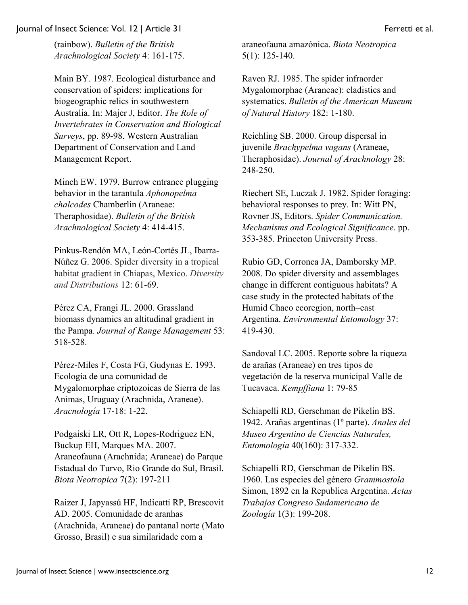(rainbow). *Bulletin of the British Arachnological Society* 4: 161-175.

Main BY. 1987. Ecological disturbance and conservation of spiders: implications for biogeographic relics in southwestern Australia. In: Majer J, Editor. *The Role of Invertebrates in Conservation and Biological Surveys*, pp. 89-98. Western Australian Department of Conservation and Land Management Report.

Minch EW. 1979. Burrow entrance plugging behavior in the tarantula *Aphonopelma chalcodes* Chamberlin (Araneae: Theraphosidae). *Bulletin of the British Arachnological Society* 4: 414-415.

Pinkus-Rendón MA, León-Cortés JL, Ibarra-Núñez G. 2006. Spider diversity in a tropical habitat gradient in Chiapas, Mexico. *Diversity and Distributions* 12: 61-69.

Pérez CA, Frangi JL. 2000. Grassland biomass dynamics an altitudinal gradient in the Pampa. *Journal of Range Management* 53: 518-528.

Pérez-Miles F, Costa FG, Gudynas E. 1993. Ecología de una comunidad de Mygalomorphae criptozoicas de Sierra de las Animas, Uruguay (Arachnida, Araneae). *Aracnología* 17-18: 1-22.

Podgaiski LR, Ott R, Lopes-Rodriguez EN, Buckup EH, Marques MA. 2007. Araneofauna (Arachnida; Araneae) do Parque Estadual do Turvo, Rio Grande do Sul, Brasil. *Biota Neotropica* 7(2): 197-211

Raizer J, Japyassú HF, Indicatti RP, Brescovit AD. 2005. Comunidade de aranhas (Arachnida, Araneae) do pantanal norte (Mato Grosso, Brasil) e sua similaridade com a

araneofauna amazónica. *Biota Neotropica* 5(1): 125-140.

Raven RJ. 1985. The spider infraorder Mygalomorphae (Araneae): cladistics and systematics. *Bulletin of the American Museum of Natural History* 182: 1-180.

Reichling SB. 2000. Group dispersal in juvenile *Brachypelma vagans* (Araneae, Theraphosidae). *Journal of Arachnology* 28: 248-250.

Riechert SE, Luczak J. 1982. Spider foraging: behavioral responses to prey. In: Witt PN, Rovner JS, Editors. *Spider Communication. Mechanisms and Ecological Significance*. pp. 353-385. Princeton University Press.

Rubio GD, Corronca JA, Damborsky MP. 2008. Do spider diversity and assemblages change in different contiguous habitats? A case study in the protected habitats of the Humid Chaco ecoregion, north–east Argentina. *Environmental Entomology* 37: 419-430.

Sandoval LC. 2005. Reporte sobre la riqueza de arañas (Araneae) en tres tipos de vegetación de la reserva municipal Valle de Tucavaca. *Kempffiana* 1: 79-85

Schiapelli RD, Gerschman de Pikelin BS. 1942. Arañas argentinas (1º parte). *Anales del Museo Argentino de Ciencias Naturales, Entomología* 40(160): 317-332.

Schiapelli RD, Gerschman de Pikelin BS. 1960. Las especies del género *Grammostola* Simon, 1892 en la Republica Argentina. *Actas Trabajos Congreso Sudamericano de Zoología* 1(3): 199-208.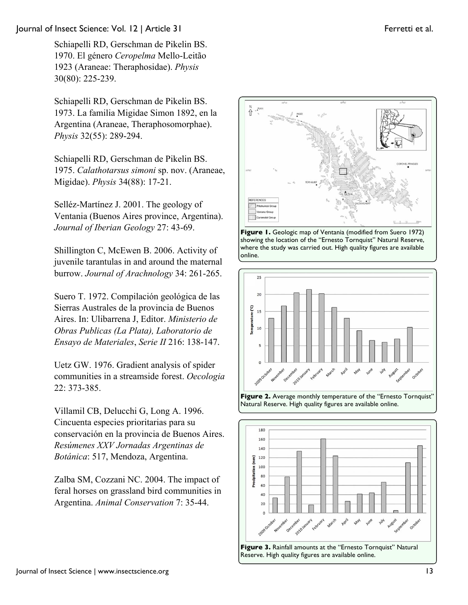Schiapelli RD, Gerschman de Pikelin BS. 1970. El género *Ceropelma* Mello-Leitão 1923 (Araneae: Theraphosidae). *Physis* 30(80): 225-239.

Schiapelli RD, Gerschman de Pikelin BS. 1973. La familia Migidae Simon 1892, en la Argentina (Araneae, Theraphosomorphae). *Physis* 32(55): 289-294.

Schiapelli RD, Gerschman de Pikelin BS. 1975. *Calathotarsus simoni* sp. nov. (Araneae, Migidae). *Physis* 34(88): 17-21.

Selléz-Martínez J. 2001. The geology of Ventania (Buenos Aires province, Argentina). *Journal of Iberian Geology* 27: 43-69.

Shillington C, McEwen B. 2006. Activity of juvenile tarantulas in and around the maternal burrow. *Journal of Arachnology* 34: 261-265.

Suero T. 1972. Compilación geológica de las Sierras Australes de la provincia de Buenos Aires. In: Ulibarrena J, Editor. *Ministerio de Obras Publicas (La Plata), Laboratorio de Ensayo de Materiales*, *Serie II* 216: 138-147.

Uetz GW. 1976. Gradient analysis of spider communities in a streamside forest. *Oecologia* 22: 373-385.

Villamil CB, Delucchi G, Long A. 1996. Cincuenta especies prioritarias para su conservación en la provincia de Buenos Aires. *Resúmenes XXV Jornadas Argentinas de Botánica*: 517, Mendoza, Argentina.

Zalba SM, Cozzani NC. 2004. The impact of feral horses on grassland bird communities in Argentina. *Animal Conservation* 7: 35-44.



**Figure 1.** Geologic map of Ventania (modified from Suero 1972) showing the location of the "Ernesto Tornquist" Natural Reserve, where the study was carried out. High quality figures are available online.



**Figure 2.** Average monthly temperature of the "Ernesto Tornquist" Natural Reserve. High quality figures are available online.



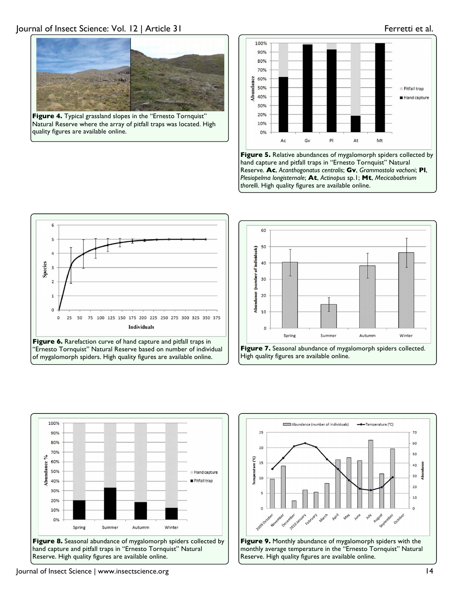

**Figure 4.** Typical grassland slopes in the "Ernesto Tornquist" Natural Reserve where the array of pitfall traps was located. High quality figures are available online.













Journal of Insect Science | www.insectscience.org 14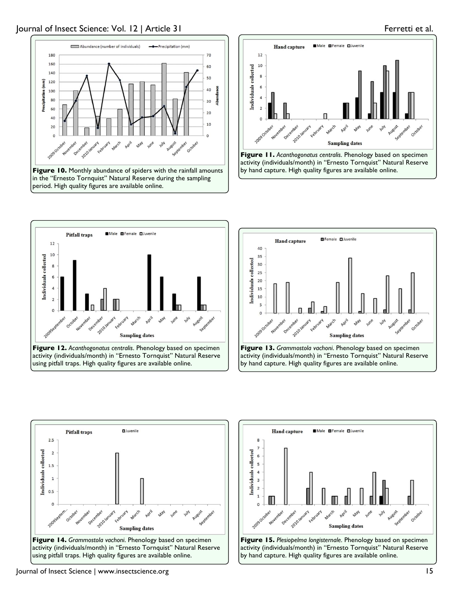







**Figure 12.** *Acanthogonatus centralis*. Phenology based on specimen activity (individuals/month) in "Ernesto Tornquist" Natural Reserve using pitfall traps. High quality figures are available online.











Journal of Insect Science | www.insectscience.org 15